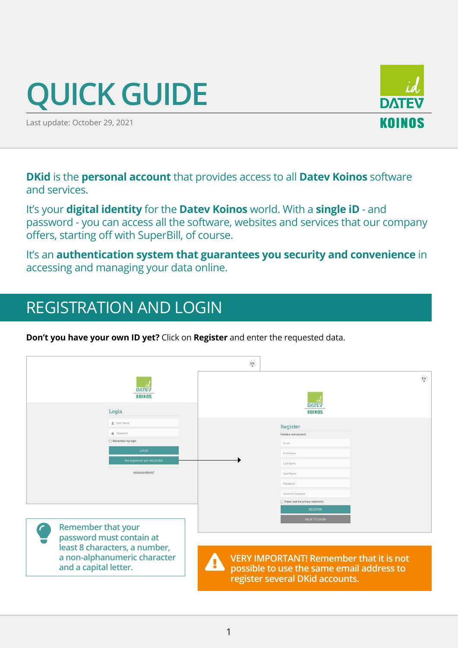# **QUICK GUIDE**

Last update: October 29, 2021

**DKid** is the **personal account** that provides access to all **Datev Koinos** software and services.

It's your **digital identity** for the **Datev Koinos** world. With a **single iD** - and password - you can access all the software, websites and services that our company offers, starting off with SuperBill, of course.

It's an **authentication system that guarantees you security and convenience** in accessing and managing your data online.

## REGISTRATION AND LOGIN

**Don't you have your own ID yet?** Click on **Register** and enter the requested data.

|                                                                                        | $\frac{\mathsf{EN}}{\mathsf{v}}$                                                                                                            |
|----------------------------------------------------------------------------------------|---------------------------------------------------------------------------------------------------------------------------------------------|
| <b>DATEV</b><br>KOINOS                                                                 | $\frac{\mathsf{EN}}{\mathsf{v}}$<br><b>DATEV</b>                                                                                            |
| Login                                                                                  | KOINOS                                                                                                                                      |
| L User Name<br><b>A</b> Password                                                       | Register<br>Create a new account.                                                                                                           |
| Remember my login                                                                      | Frnall                                                                                                                                      |
| <b>LOGIN</b>                                                                           | First Name                                                                                                                                  |
| Not registered yet? REGISTER                                                           | Last Name                                                                                                                                   |
| Access problems?                                                                       | User Name                                                                                                                                   |
|                                                                                        | Password                                                                                                                                    |
|                                                                                        | Confirm Password<br>1 have read the privacy statement                                                                                       |
|                                                                                        | <b>REGISTER</b>                                                                                                                             |
|                                                                                        | <b>BACK TO LOGIN</b>                                                                                                                        |
| Remember that your<br>$\mathcal{L}$<br>password must contain at                        |                                                                                                                                             |
| least 8 characters, a number,<br>a non-alphanumeric character<br>and a capital letter. | <b>VERY IMPORTANT! Remember that it is not</b><br><b>AA</b><br>possible to use the same email address to<br>register several DKid accounts. |

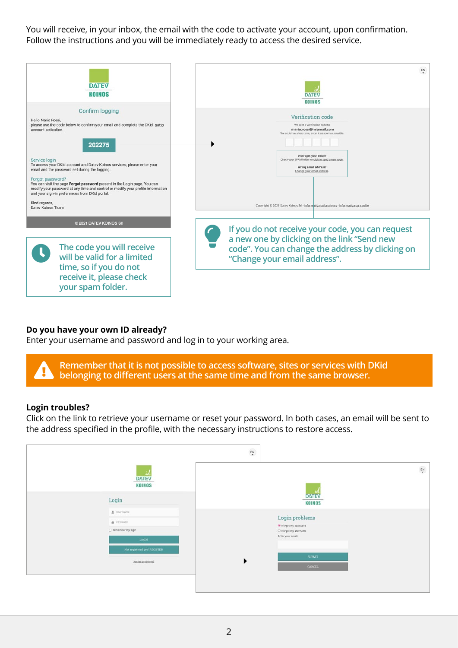You will receive, in your inbox, the email with the code to activate your account, upon confirmation. Follow the instructions and you will be immediately ready to access the desired service.

| <b>DATEV</b><br><b>KOINOS</b>                                                                                                                                                                                                                                                                                                                                                                      | EN<br><b>DATEV</b><br><b>KOINOS</b>                                                                                                                                                                                               |
|----------------------------------------------------------------------------------------------------------------------------------------------------------------------------------------------------------------------------------------------------------------------------------------------------------------------------------------------------------------------------------------------------|-----------------------------------------------------------------------------------------------------------------------------------------------------------------------------------------------------------------------------------|
| Confirm logging<br>Hello Mario Rossi.<br>please use the code below to confirm your email and complete the DKid sotto<br>account activation.<br>202275                                                                                                                                                                                                                                              | Verification code<br>We sent a verification code to<br>mario.rossi@miamail.com<br>The code has short term, enter it as soon as possible.<br>Didn't get your email?<br>Check your SPAM folder or <u>click to send a new code</u> . |
| Service login<br>To access your DKid account and Datev Koinos services, please enter your<br>email and the password set during the logging.<br>Forgot password?<br>You can visit the page Forgot password present in the Login page. You can<br>modify your password at any time and control or modify your profile information<br>and your sign-in preferences from DKid portal.<br>Kind regards, | Wrong email address?<br>Change your email address.<br>Copyright © 2021 Datev Koinos Srl - Informativa sulla privacy - Informativa sui cookie                                                                                      |
| Datey Koinos Team<br>C 2021 DATEV KOINOS Srl                                                                                                                                                                                                                                                                                                                                                       | If you do not receive your code, you can request                                                                                                                                                                                  |
| The code you will receive<br>will be valid for a limited<br>time, so if you do not<br>receive it, please check<br>your spam folder.                                                                                                                                                                                                                                                                | a new one by clicking on the link "Send new<br>code". You can change the address by clicking on<br>"Change your email address".                                                                                                   |

#### **Do you have your own ID already?**

Enter your username and password and log in to your working area.

**Remember that it is not possible to access software, sites or services with DKid belonging to different users at the same time and from the same browser.**

#### **Login troubles?**

Click on the link to retrieve your username or reset your password. In both cases, an email will be sent to the address specified in the profile, with the necessary instructions to restore access.

|                                                               | $\frac{\mathsf{EN}}{\mathsf{v}}$             |
|---------------------------------------------------------------|----------------------------------------------|
| <b>DATEV</b><br>KOINOS                                        | $\frac{\mathsf{EN}}{\mathsf{v}}$             |
| Login                                                         | <b>DATEV</b><br><b>KOINOS</b>                |
| Diser Name<br><b>A</b> Password<br>Remember my login<br>LOGIN | $\rm Login$ problems<br>If orgot my password |
|                                                               | O I forgot my username<br>Enter your email.  |
| Not registered yet? REGISTER                                  | <b>SUBMIT</b>                                |
| Access problems?                                              | CANCEL                                       |
|                                                               |                                              |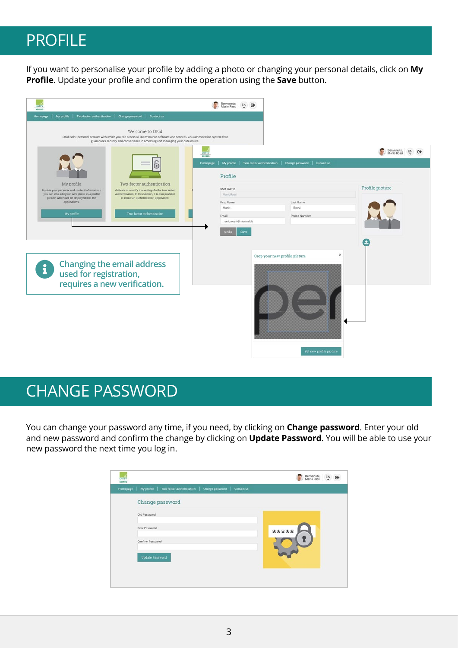## PROFILE

If you want to personalise your profile by adding a photo or changing your personal details, click on **My Profile**. Update your profile and confirm the operation using the **Save** button.



### CHANGE PASSWORD

You can change your password any time, if you need, by clicking on **Change password**. Enter your old and new password and confirm the change by clicking on **Update Password**. You will be able to use your new password the next time you log in.